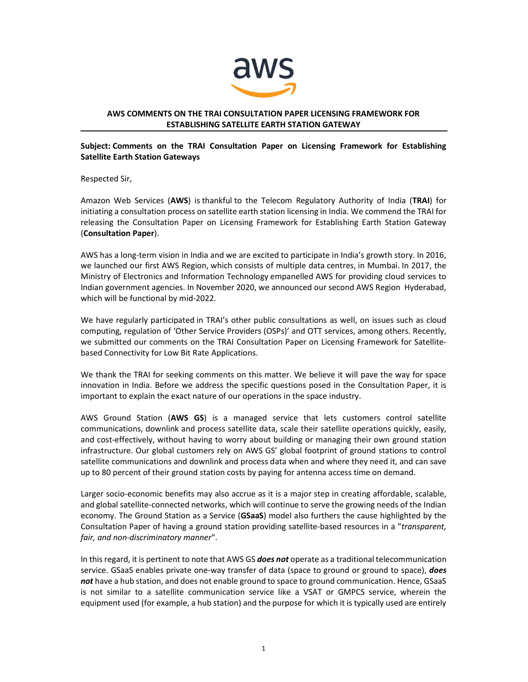

### AWS COMMENTS ON THE TRAI CONSULTATION PAPER LICENSING FRAMEWORK FOR ESTABLISHING SATELLITE EARTH STATION GATEWAY

### Subject: Comments on the TRAI Consultation Paper on Licensing Framework for Establishing Satellite Earth Station Gateways

Respected Sir,

٦

Amazon Web Services (AWS) is thankful to the Telecom Regulatory Authority of India (TRAI) for initiating a consultation process on satellite earth station licensing in India. We commend the TRAI for releasing the Consultation Paper on Licensing Framework for Establishing Earth Station Gateway (Consultation Paper).

AWS has a long-term vision in India and we are excited to participate in India's growth story. In 2016, we launched our first AWS Region, which consists of multiple data centres, in Mumbai. In 2017, the Ministry of Electronics and Information Technology empanelled AWS for providing cloud services to Indian government agencies. In November 2020, we announced our second AWS Region Hyderabad, which will be functional by mid-2022.

We have regularly participated in TRAI's other public consultations as well, on issues such as cloud computing, regulation of 'Other Service Providers (OSPs)' and OTT services, among others. Recently, we submitted our comments on the TRAI Consultation Paper on Licensing Framework for Satellitebased Connectivity for Low Bit Rate Applications.

We thank the TRAI for seeking comments on this matter. We believe it will pave the way for space innovation in India. Before we address the specific questions posed in the Consultation Paper, it is important to explain the exact nature of our operations in the space industry.

AWS Ground Station (AWS GS) is a managed service that lets customers control satellite communications, downlink and process satellite data, scale their satellite operations quickly, easily, and cost-effectively, without having to worry about building or managing their own ground station infrastructure. Our global customers rely on AWS GS' global footprint of ground stations to control satellite communications and downlink and process data when and where they need it, and can save up to 80 percent of their ground station costs by paying for antenna access time on demand.

Larger socio-economic benefits may also accrue as it is a major step in creating affordable, scalable, and global satellite-connected networks, which will continue to serve the growing needs of the Indian economy. The Ground Station as a Service (GSaaS) model also furthers the cause highlighted by the Consultation Paper of having a ground station providing satellite-based resources in a "transparent, fair, and non-discriminatory manner".

In this regard, it is pertinent to note that AWS GS does not operate as a traditional telecommunication service. GSaaS enables private one-way transfer of data (space to ground or ground to space), **does** not have a hub station, and does not enable ground to space to ground communication. Hence, GSaaS is not similar to a satellite communication service like a VSAT or GMPCS service, wherein the equipment used (for example, a hub station) and the purpose for which it is typically used are entirely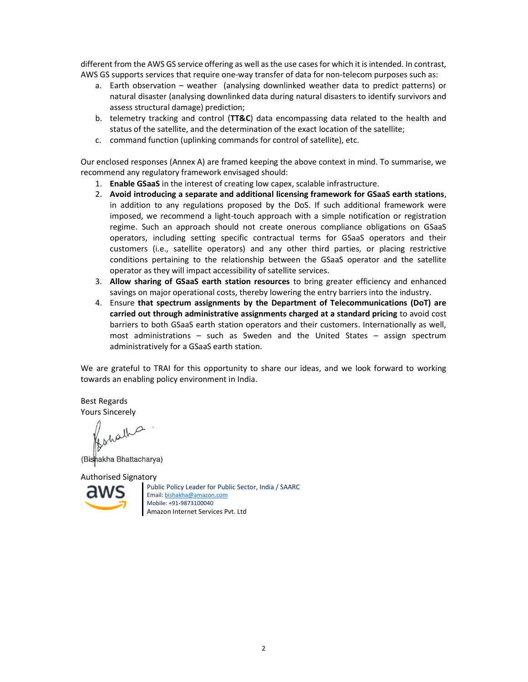different from the AWS GS service offering as well as the use cases for which it is intended. In contrast, AWS GS supports services that require one-way transfer of data for non-telecom purposes such as:

- a. Earth observation weather (analysing downlinked weather data to predict patterns) or natural disaster (analysing downlinked data during natural disasters to identify survivors and assess structural damage) prediction;
- b. telemetry tracking and control (TT&C) data encompassing data related to the health and status of the satellite, and the determination of the exact location of the satellite;
- c. command function (uplinking commands for control of satellite), etc.

Our enclosed responses (Annex A) are framed keeping the above context in mind. To summarise, we recommend any regulatory framework envisaged should:

- 1. Enable GSaaS in the interest of creating low capex, scalable infrastructure.
- 2. Avoid introducing a separate and additional licensing framework for GSaaS earth stations, in addition to any regulations proposed by the DoS. If such additional framework were imposed, we recommend a light-touch approach with a simple notification or registration regime. Such an approach should not create onerous compliance obligations on GSaaS operators, including setting specific contractual terms for GSaaS operators and their customers (i.e., satellite operators) and any other third parties, or placing restrictive conditions pertaining to the relationship between the GSaaS operator and the satellite operator as they will impact accessibility of satellite services.
- 3. Allow sharing of GSaaS earth station resources to bring greater efficiency and enhanced savings on major operational costs, thereby lowering the entry barriers into the industry.
- 4. Ensure that spectrum assignments by the Department of Telecommunications (DoT) are carried out through administrative assignments charged at a standard pricing to avoid cost barriers to both GSaaS earth station operators and their customers. Internationally as well, most administrations – such as Sweden and the United States – assign spectrum administratively for a GSaaS earth station.

We are grateful to TRAI for this opportunity to share our ideas, and we look forward to working towards an enabling policy environment in India.

Best Regards Yours Sincerely

Responsible

(Bishakha Bhattacharya)

Authorised Signatory



Public Policy Leader for Public Sector, India / SAARC Email: bishakha@amazon.com Mobile: +91-9873100040 Amazon Internet Services Pvt. Ltd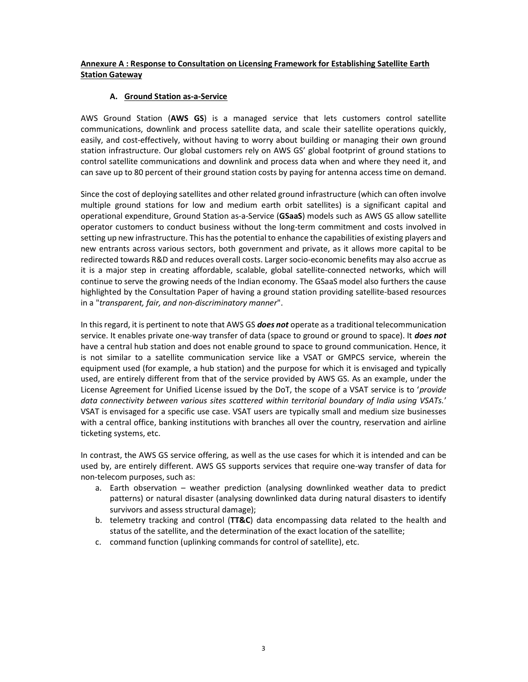# Annexure A : Response to Consultation on Licensing Framework for Establishing Satellite Earth **Station Gateway**

#### A. Ground Station as-a-Service

AWS Ground Station (AWS GS) is a managed service that lets customers control satellite communications, downlink and process satellite data, and scale their satellite operations quickly, easily, and cost-effectively, without having to worry about building or managing their own ground station infrastructure. Our global customers rely on AWS GS' global footprint of ground stations to control satellite communications and downlink and process data when and where they need it, and can save up to 80 percent of their ground station costs by paying for antenna access time on demand.

Since the cost of deploying satellites and other related ground infrastructure (which can often involve multiple ground stations for low and medium earth orbit satellites) is a significant capital and operational expenditure, Ground Station as-a-Service (GSaaS) models such as AWS GS allow satellite operator customers to conduct business without the long-term commitment and costs involved in setting up new infrastructure. This has the potential to enhance the capabilities of existing players and new entrants across various sectors, both government and private, as it allows more capital to be redirected towards R&D and reduces overall costs. Larger socio-economic benefits may also accrue as it is a major step in creating affordable, scalable, global satellite-connected networks, which will continue to serve the growing needs of the Indian economy. The GSaaS model also furthers the cause highlighted by the Consultation Paper of having a ground station providing satellite-based resources in a "transparent, fair, and non-discriminatory manner".

In this regard, it is pertinent to note that AWS GS *does not* operate as a traditional telecommunication service. It enables private one-way transfer of data (space to ground or ground to space). It *does not* have a central hub station and does not enable ground to space to ground communication. Hence, it is not similar to a satellite communication service like a VSAT or GMPCS service, wherein the equipment used (for example, a hub station) and the purpose for which it is envisaged and typically used, are entirely different from that of the service provided by AWS GS. As an example, under the License Agreement for Unified License issued by the DoT, the scope of a VSAT service is to 'provide data connectivity between various sites scattered within territorial boundary of India using VSATs.' VSAT is envisaged for a specific use case. VSAT users are typically small and medium size businesses with a central office, banking institutions with branches all over the country, reservation and airline ticketing systems, etc.

In contrast, the AWS GS service offering, as well as the use cases for which it is intended and can be used by, are entirely different. AWS GS supports services that require one-way transfer of data for non-telecom purposes, such as:

- a. Earth observation weather prediction (analysing downlinked weather data to predict patterns) or natural disaster (analysing downlinked data during natural disasters to identify survivors and assess structural damage);
- b. telemetry tracking and control ( $TT\&C$ ) data encompassing data related to the health and status of the satellite, and the determination of the exact location of the satellite;
- c. command function (uplinking commands for control of satellite), etc.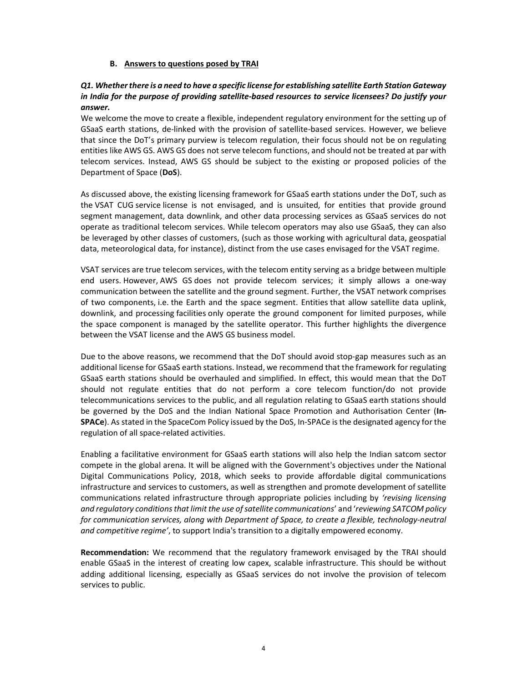#### B. Answers to questions posed by TRAI

## Q1. Whether there is a need to have a specific license for establishing satellite Earth Station Gateway in India for the purpose of providing satellite-based resources to service licensees? Do justify your answer.

We welcome the move to create a flexible, independent regulatory environment for the setting up of GSaaS earth stations, de-linked with the provision of satellite-based services. However, we believe that since the DoT's primary purview is telecom regulation, their focus should not be on regulating entities like AWS GS. AWS GS does not serve telecom functions, and should not be treated at par with telecom services. Instead, AWS GS should be subject to the existing or proposed policies of the Department of Space (DoS).

As discussed above, the existing licensing framework for GSaaS earth stations under the DoT, such as the VSAT CUG service license is not envisaged, and is unsuited, for entities that provide ground segment management, data downlink, and other data processing services as GSaaS services do not operate as traditional telecom services. While telecom operators may also use GSaaS, they can also be leveraged by other classes of customers, (such as those working with agricultural data, geospatial data, meteorological data, for instance), distinct from the use cases envisaged for the VSAT regime.

VSAT services are true telecom services, with the telecom entity serving as a bridge between multiple end users. However, AWS GS does not provide telecom services; it simply allows a one-way communication between the satellite and the ground segment. Further, the VSAT network comprises of two components, i.e. the Earth and the space segment. Entities that allow satellite data uplink, downlink, and processing facilities only operate the ground component for limited purposes, while the space component is managed by the satellite operator. This further highlights the divergence between the VSAT license and the AWS GS business model.

Due to the above reasons, we recommend that the DoT should avoid stop-gap measures such as an additional license for GSaaS earth stations. Instead, we recommend that the framework for regulating GSaaS earth stations should be overhauled and simplified. In effect, this would mean that the DoT should not regulate entities that do not perform a core telecom function/do not provide telecommunications services to the public, and all regulation relating to GSaaS earth stations should be governed by the DoS and the Indian National Space Promotion and Authorisation Center (In-SPACe). As stated in the SpaceCom Policy issued by the DoS, In-SPACe is the designated agency for the regulation of all space-related activities.

Enabling a facilitative environment for GSaaS earth stations will also help the Indian satcom sector compete in the global arena. It will be aligned with the Government's objectives under the National Digital Communications Policy, 2018, which seeks to provide affordable digital communications infrastructure and services to customers, as well as strengthen and promote development of satellite communications related infrastructure through appropriate policies including by 'revising licensing and regulatory conditions that limit the use of satellite communications' and 'reviewing SATCOM policy for communication services, along with Department of Space, to create a flexible, technology-neutral and competitive regime', to support India's transition to a digitally empowered economy.

Recommendation: We recommend that the regulatory framework envisaged by the TRAI should enable GSaaS in the interest of creating low capex, scalable infrastructure. This should be without adding additional licensing, especially as GSaaS services do not involve the provision of telecom services to public.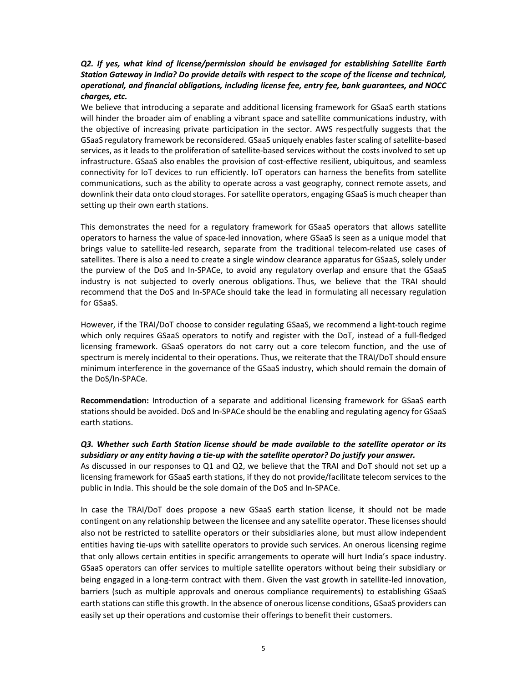## Q2. If yes, what kind of license/permission should be envisaged for establishing Satellite Earth Station Gateway in India? Do provide details with respect to the scope of the license and technical, operational, and financial obligations, including license fee, entry fee, bank guarantees, and NOCC charges, etc.

We believe that introducing a separate and additional licensing framework for GSaaS earth stations will hinder the broader aim of enabling a vibrant space and satellite communications industry, with the objective of increasing private participation in the sector. AWS respectfully suggests that the GSaaS regulatory framework be reconsidered. GSaaS uniquely enables faster scaling of satellite-based services, as it leads to the proliferation of satellite-based services without the costs involved to set up infrastructure. GSaaS also enables the provision of cost-effective resilient, ubiquitous, and seamless connectivity for IoT devices to run efficiently. IoT operators can harness the benefits from satellite communications, such as the ability to operate across a vast geography, connect remote assets, and downlink their data onto cloud storages. For satellite operators, engaging GSaaS is much cheaper than setting up their own earth stations.

This demonstrates the need for a regulatory framework for GSaaS operators that allows satellite operators to harness the value of space-led innovation, where GSaaS is seen as a unique model that brings value to satellite-led research, separate from the traditional telecom-related use cases of satellites. There is also a need to create a single window clearance apparatus for GSaaS, solely under the purview of the DoS and In-SPACe, to avoid any regulatory overlap and ensure that the GSaaS industry is not subjected to overly onerous obligations. Thus, we believe that the TRAI should recommend that the DoS and In-SPACe should take the lead in formulating all necessary regulation for GSaaS.

However, if the TRAI/DoT choose to consider regulating GSaaS, we recommend a light-touch regime which only requires GSaaS operators to notify and register with the DoT, instead of a full-fledged licensing framework. GSaaS operators do not carry out a core telecom function, and the use of spectrum is merely incidental to their operations. Thus, we reiterate that the TRAI/DoT should ensure minimum interference in the governance of the GSaaS industry, which should remain the domain of the DoS/In-SPACe.

Recommendation: Introduction of a separate and additional licensing framework for GSaaS earth stations should be avoided. DoS and In-SPACe should be the enabling and regulating agency for GSaaS earth stations.

### Q3. Whether such Earth Station license should be made available to the satellite operator or its subsidiary or any entity having a tie-up with the satellite operator? Do justify your answer.

As discussed in our responses to Q1 and Q2, we believe that the TRAI and DoT should not set up a licensing framework for GSaaS earth stations, if they do not provide/facilitate telecom services to the public in India. This should be the sole domain of the DoS and In-SPACe.

In case the TRAI/DoT does propose a new GSaaS earth station license, it should not be made contingent on any relationship between the licensee and any satellite operator. These licenses should also not be restricted to satellite operators or their subsidiaries alone, but must allow independent entities having tie-ups with satellite operators to provide such services. An onerous licensing regime that only allows certain entities in specific arrangements to operate will hurt India's space industry. GSaaS operators can offer services to multiple satellite operators without being their subsidiary or being engaged in a long-term contract with them. Given the vast growth in satellite-led innovation, barriers (such as multiple approvals and onerous compliance requirements) to establishing GSaaS earth stations can stifle this growth. In the absence of onerous license conditions, GSaaS providers can easily set up their operations and customise their offerings to benefit their customers.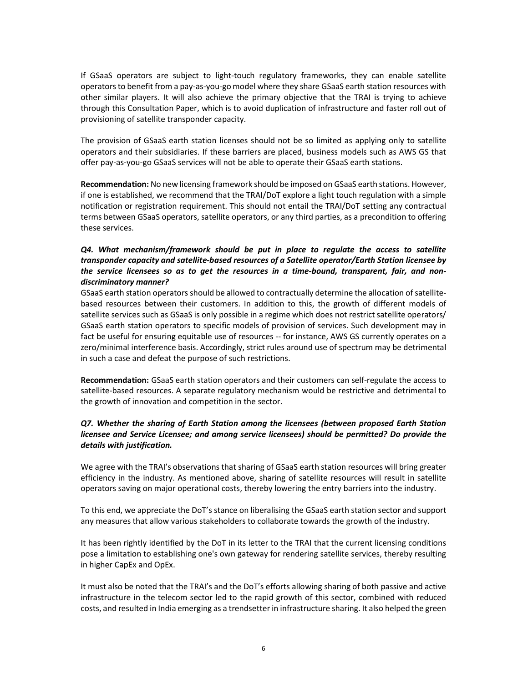If GSaaS operators are subject to light-touch regulatory frameworks, they can enable satellite operators to benefit from a pay-as-you-go model where they share GSaaS earth station resources with other similar players. It will also achieve the primary objective that the TRAI is trying to achieve through this Consultation Paper, which is to avoid duplication of infrastructure and faster roll out of provisioning of satellite transponder capacity.

The provision of GSaaS earth station licenses should not be so limited as applying only to satellite operators and their subsidiaries. If these barriers are placed, business models such as AWS GS that offer pay-as-you-go GSaaS services will not be able to operate their GSaaS earth stations.

Recommendation: No new licensing framework should be imposed on GSaaS earth stations. However, if one is established, we recommend that the TRAI/DoT explore a light touch regulation with a simple notification or registration requirement. This should not entail the TRAI/DoT setting any contractual terms between GSaaS operators, satellite operators, or any third parties, as a precondition to offering these services.

# Q4. What mechanism/framework should be put in place to regulate the access to satellite transponder capacity and satellite-based resources of a Satellite operator/Earth Station licensee by the service licensees so as to get the resources in a time-bound, transparent, fair, and nondiscriminatory manner?

GSaaS earth station operators should be allowed to contractually determine the allocation of satellitebased resources between their customers. In addition to this, the growth of different models of satellite services such as GSaaS is only possible in a regime which does not restrict satellite operators/ GSaaS earth station operators to specific models of provision of services. Such development may in fact be useful for ensuring equitable use of resources -- for instance, AWS GS currently operates on a zero/minimal interference basis. Accordingly, strict rules around use of spectrum may be detrimental in such a case and defeat the purpose of such restrictions.

Recommendation: GSaaS earth station operators and their customers can self-regulate the access to satellite-based resources. A separate regulatory mechanism would be restrictive and detrimental to the growth of innovation and competition in the sector.

# Q7. Whether the sharing of Earth Station among the licensees (between proposed Earth Station licensee and Service Licensee; and among service licensees) should be permitted? Do provide the details with justification.

We agree with the TRAI's observations that sharing of GSaaS earth station resources will bring greater efficiency in the industry. As mentioned above, sharing of satellite resources will result in satellite operators saving on major operational costs, thereby lowering the entry barriers into the industry.

To this end, we appreciate the DoT's stance on liberalising the GSaaS earth station sector and support any measures that allow various stakeholders to collaborate towards the growth of the industry.

It has been rightly identified by the DoT in its letter to the TRAI that the current licensing conditions pose a limitation to establishing one's own gateway for rendering satellite services, thereby resulting in higher CapEx and OpEx.

It must also be noted that the TRAI's and the DoT's efforts allowing sharing of both passive and active infrastructure in the telecom sector led to the rapid growth of this sector, combined with reduced costs, and resulted in India emerging as a trendsetter in infrastructure sharing. It also helped the green